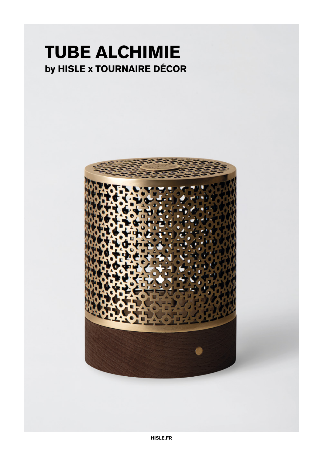## **TUBE ALCHIMIE** by HISLE x TOURNAIRE DÉCOR

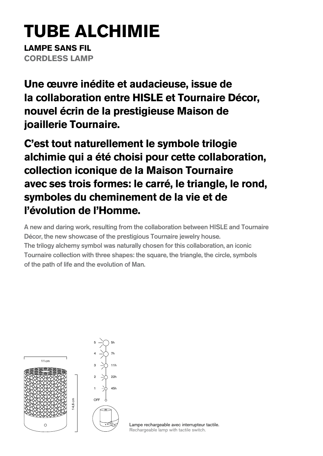# **TUBE ALCHIMIE**

**LAMPE SANS FIL CORDLESS LAMP**

**Une œuvre inédite et audacieuse, issue de la collaboration entre HISLE et Tournaire Décor, nouvel écrin de la prestigieuse Maison de joaillerie Tournaire.** 

**C'est tout naturellement le symbole trilogie alchimie qui a été choisi pour cette collaboration, collection iconique de la Maison Tournaire avec ses trois formes: le carré, le triangle, le rond, symboles du cheminement de la vie et de l'évolution de l'Homme.**

A new and daring work, resulting from the collaboration between HISLE and Tournaire Décor, the new showcase of the prestigious Tournaire jewelry house. The trilogy alchemy symbol was naturally chosen for this collaboration, an iconic Tournaire collection with three shapes: the square, the triangle, the circle, symbols of the path of life and the evolution of Man.



Lampe rechargeable avec interrupteur tactile. Rechargeable lamp with tactile switch.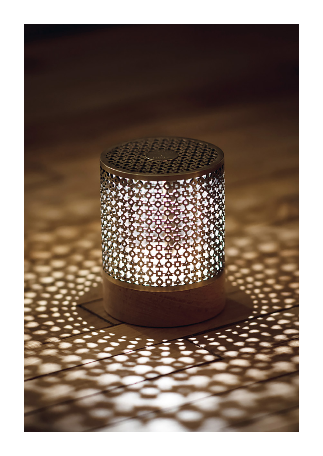